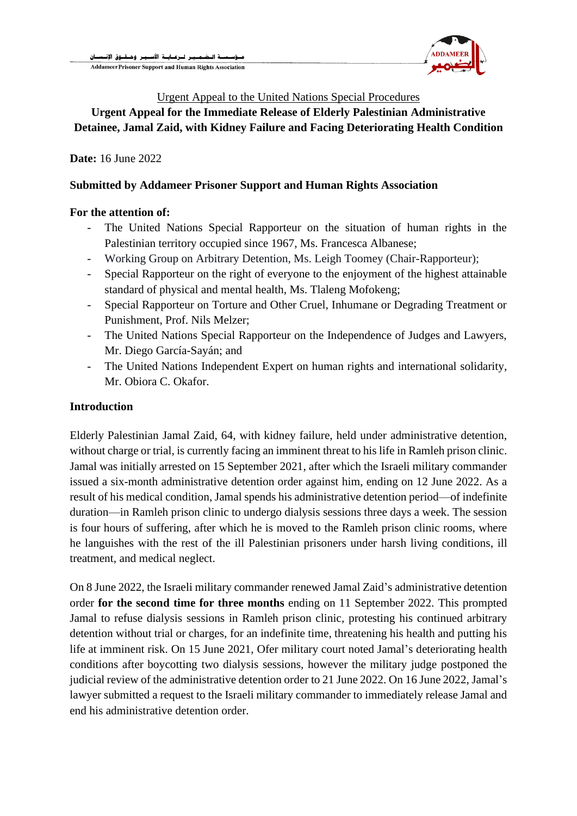

#### Addameer Prisoner Support and Human Rights Association

#### Urgent Appeal to the United Nations Special Procedures

# **Urgent Appeal for the Immediate Release of Elderly Palestinian Administrative Detainee, Jamal Zaid, with Kidney Failure and Facing Deteriorating Health Condition**

**Date:** 16 June 2022

#### **Submitted by Addameer Prisoner Support and Human Rights Association**

#### **For the attention of:**

- The United Nations Special Rapporteur on the situation of human rights in the Palestinian territory occupied since 1967, Ms. Francesca Albanese;
- Working Group on Arbitrary Detention, Ms. Leigh Toomey (Chair-Rapporteur);
- Special Rapporteur on the right of everyone to the enjoyment of the highest attainable standard of physical and mental health, Ms. Tlaleng Mofokeng;
- Special Rapporteur on Torture and Other Cruel, Inhumane or Degrading Treatment or Punishment, Prof. Nils Melzer;
- The United Nations Special Rapporteur on the Independence of Judges and Lawyers, Mr. Diego García-Sayán; and
- The United Nations Independent Expert on human rights and international solidarity, Mr. Obiora C. Okafor.

### **Introduction**

Elderly Palestinian Jamal Zaid, 64, with kidney failure, held under administrative detention, without charge or trial, is currently facing an imminent threat to his life in Ramleh prison clinic. Jamal was initially arrested on 15 September 2021, after which the Israeli military commander issued a six-month administrative detention order against him, ending on 12 June 2022. As a result of his medical condition, Jamal spends his administrative detention period—of indefinite duration—in Ramleh prison clinic to undergo dialysis sessions three days a week. The session is four hours of suffering, after which he is moved to the Ramleh prison clinic rooms, where he languishes with the rest of the ill Palestinian prisoners under harsh living conditions, ill treatment, and medical neglect.

On 8 June 2022, the Israeli military commander renewed Jamal Zaid's administrative detention order **for the second time for three months** ending on 11 September 2022. This prompted Jamal to refuse dialysis sessions in Ramleh prison clinic, protesting his continued arbitrary detention without trial or charges, for an indefinite time, threatening his health and putting his life at imminent risk. On 15 June 2021, Ofer military court noted Jamal's deteriorating health conditions after boycotting two dialysis sessions, however the military judge postponed the judicial review of the administrative detention order to 21 June 2022. On 16 June 2022, Jamal's lawyer submitted a request to the Israeli military commander to immediately release Jamal and end his administrative detention order.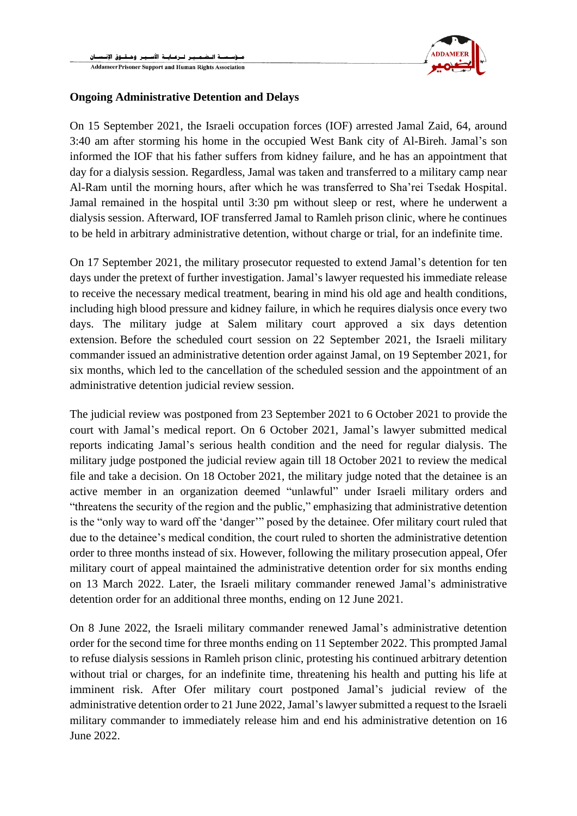

### **Ongoing Administrative Detention and Delays**

On 15 September 2021, the Israeli occupation forces (IOF) arrested Jamal Zaid, 64, around 3:40 am after storming his home in the occupied West Bank city of Al-Bireh. Jamal's son informed the IOF that his father suffers from kidney failure, and he has an appointment that day for a dialysis session. Regardless, Jamal was taken and transferred to a military camp near Al-Ram until the morning hours, after which he was transferred to Sha'rei Tsedak Hospital. Jamal remained in the hospital until 3:30 pm without sleep or rest, where he underwent a dialysis session. Afterward, IOF transferred Jamal to Ramleh prison clinic, where he continues to be held in arbitrary administrative detention, without charge or trial, for an indefinite time.

On 17 September 2021, the military prosecutor requested to extend Jamal's detention for ten days under the pretext of further investigation. Jamal's lawyer requested his immediate release to receive the necessary medical treatment, bearing in mind his old age and health conditions, including high blood pressure and kidney failure, in which he requires dialysis once every two days. The military judge at Salem military court approved a six days detention extension. Before the scheduled court session on 22 September 2021, the Israeli military commander issued an administrative detention order against Jamal, on 19 September 2021, for six months, which led to the cancellation of the scheduled session and the appointment of an administrative detention judicial review session.

The judicial review was postponed from 23 September 2021 to 6 October 2021 to provide the court with Jamal's medical report. On 6 October 2021, Jamal's lawyer submitted medical reports indicating Jamal's serious health condition and the need for regular dialysis. The military judge postponed the judicial review again till 18 October 2021 to review the medical file and take a decision. On 18 October 2021, the military judge noted that the detainee is an active member in an organization deemed "unlawful" under Israeli military orders and "threatens the security of the region and the public," emphasizing that administrative detention is the "only way to ward off the 'danger'" posed by the detainee. Ofer military court ruled that due to the detainee's medical condition, the court ruled to shorten the administrative detention order to three months instead of six. However, following the military prosecution appeal, Ofer military court of appeal maintained the administrative detention order for six months ending on 13 March 2022. Later, the Israeli military commander renewed Jamal's administrative detention order for an additional three months, ending on 12 June 2021.

On 8 June 2022, the Israeli military commander renewed Jamal's administrative detention order for the second time for three months ending on 11 September 2022. This prompted Jamal to refuse dialysis sessions in Ramleh prison clinic, protesting his continued arbitrary detention without trial or charges, for an indefinite time, threatening his health and putting his life at imminent risk. After Ofer military court postponed Jamal's judicial review of the administrative detention order to 21 June 2022, Jamal's lawyer submitted a request to the Israeli military commander to immediately release him and end his administrative detention on 16 June 2022.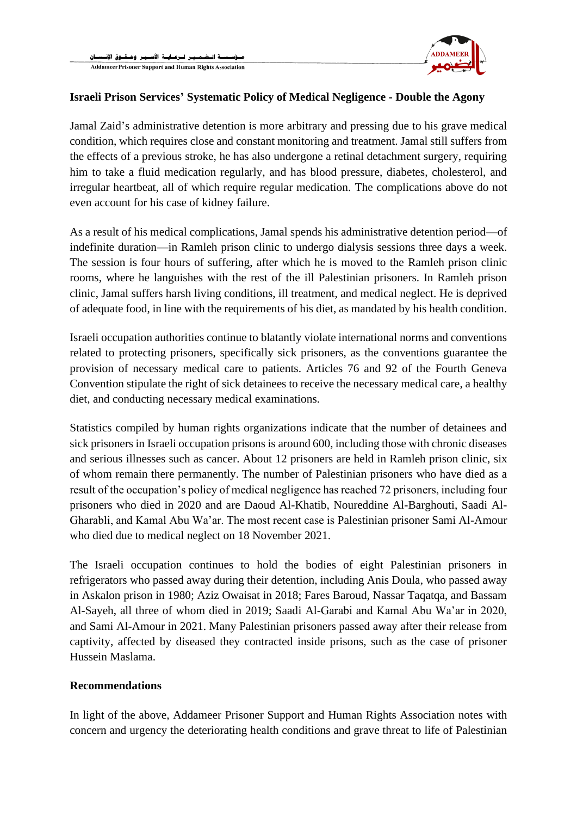

## **Israeli Prison Services' Systematic Policy of Medical Negligence - Double the Agony**

Jamal Zaid's administrative detention is more arbitrary and pressing due to his grave medical condition, which requires close and constant monitoring and treatment. Jamal still suffers from the effects of a previous stroke, he has also undergone a retinal detachment surgery, requiring him to take a fluid medication regularly, and has blood pressure, diabetes, cholesterol, and irregular heartbeat, all of which require regular medication. The complications above do not even account for his case of kidney failure.

As a result of his medical complications, Jamal spends his administrative detention period—of indefinite duration—in Ramleh prison clinic to undergo dialysis sessions three days a week. The session is four hours of suffering, after which he is moved to the Ramleh prison clinic rooms, where he languishes with the rest of the ill Palestinian prisoners. In Ramleh prison clinic, Jamal suffers harsh living conditions, ill treatment, and medical neglect. He is deprived of adequate food, in line with the requirements of his diet, as mandated by his health condition.

Israeli occupation authorities continue to blatantly violate international norms and conventions related to protecting prisoners, specifically sick prisoners, as the conventions guarantee the provision of necessary medical care to patients. Articles 76 and 92 of the Fourth Geneva Convention stipulate the right of sick detainees to receive the necessary medical care, a healthy diet, and conducting necessary medical examinations.

Statistics compiled by human rights organizations indicate that the number of detainees and sick prisoners in Israeli occupation prisons is around 600, including those with chronic diseases and serious illnesses such as cancer. About 12 prisoners are held in Ramleh prison clinic, six of whom remain there permanently. The number of Palestinian prisoners who have died as a result of the occupation's policy of medical negligence has reached 72 prisoners, including four prisoners who died in 2020 and are Daoud Al-Khatib, Noureddine Al-Barghouti, Saadi Al-Gharabli, and Kamal Abu Wa'ar. The most recent case is Palestinian prisoner Sami Al-Amour who died due to medical neglect on 18 November 2021.

The Israeli occupation continues to hold the bodies of eight Palestinian prisoners in refrigerators who passed away during their detention, including Anis Doula, who passed away in Askalon prison in 1980; Aziz Owaisat in 2018; Fares Baroud, Nassar Taqatqa, and Bassam Al-Sayeh, all three of whom died in 2019; Saadi Al-Garabi and Kamal Abu Wa'ar in 2020, and Sami Al-Amour in 2021. Many Palestinian prisoners passed away after their release from captivity, affected by diseased they contracted inside prisons, such as the case of prisoner Hussein Maslama.

#### **Recommendations**

In light of the above, Addameer Prisoner Support and Human Rights Association notes with concern and urgency the deteriorating health conditions and grave threat to life of Palestinian